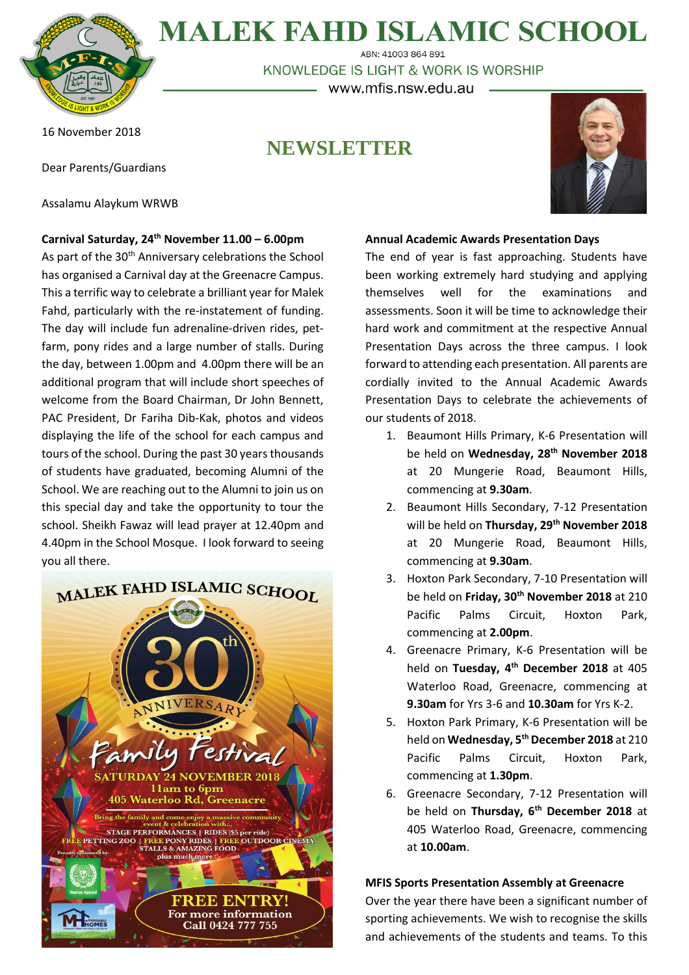

**MALEK FAHD ISLAMIC SCHOOL** ABN: 41003 864 891

KNOWLEDGE IS LIGHT & WORK IS WORSHIP

www.mfis.nsw.edu.au

#### 16 November 2018

Dear Parents/Guardians

Assalamu Alaykum WRWB

### **Carnival Saturday, 24th November 11.00 – 6.00pm**

As part of the 30<sup>th</sup> Anniversary celebrations the School has organised a Carnival day at the Greenacre Campus. This a terrific way to celebrate a brilliant year for Malek Fahd, particularly with the re-instatement of funding. The day will include fun adrenaline-driven rides, petfarm, pony rides and a large number of stalls. During the day, between 1.00pm and 4.00pm there will be an additional program that will include short speeches of welcome from the Board Chairman, Dr John Bennett, PAC President, Dr Fariha Dib-Kak, photos and videos displaying the life of the school for each campus and tours of the school. During the past 30 years thousands of students have graduated, becoming Alumni of the School. We are reaching out to the Alumni to join us on this special day and take the opportunity to tour the school. Sheikh Fawaz will lead prayer at 12.40pm and 4.40pm in the School Mosque. I look forward to seeing you all there.



# **NEWSLETTER**



#### **Annual Academic Awards Presentation Days**

The end of year is fast approaching. Students have been working extremely hard studying and applying themselves well for the examinations and assessments. Soon it will be time to acknowledge their hard work and commitment at the respective Annual Presentation Days across the three campus. I look forward to attending each presentation. All parents are cordially invited to the Annual Academic Awards Presentation Days to celebrate the achievements of our students of 2018.

- 1. Beaumont Hills Primary, K-6 Presentation will be held on **Wednesday, 28th November 2018** at 20 Mungerie Road, Beaumont Hills, commencing at **9.30am**.
- 2. Beaumont Hills Secondary, 7-12 Presentation will be held on **Thursday, 29th November 2018** at 20 Mungerie Road, Beaumont Hills, commencing at **9.30am**.
- 3. Hoxton Park Secondary, 7-10 Presentation will be held on **Friday, 30th November 2018** at 210 Pacific Palms Circuit, Hoxton Park, commencing at **2.00pm**.
- 4. Greenacre Primary, K-6 Presentation will be held on **Tuesday, 4 th December 2018** at 405 Waterloo Road, Greenacre, commencing at **9.30am** for Yrs 3-6 and **10.30am** for Yrs K-2.
- 5. Hoxton Park Primary, K-6 Presentation will be held on **Wednesday, 5th December 2018** at 210 Pacific Palms Circuit, Hoxton Park, commencing at **1.30pm**.
- 6. Greenacre Secondary, 7-12 Presentation will be held on **Thursday, 6 th December 2018** at 405 Waterloo Road, Greenacre, commencing at **10.00am**.

#### **MFIS Sports Presentation Assembly at Greenacre**

Over the year there have been a significant number of sporting achievements. We wish to recognise the skills and achievements of the students and teams. To this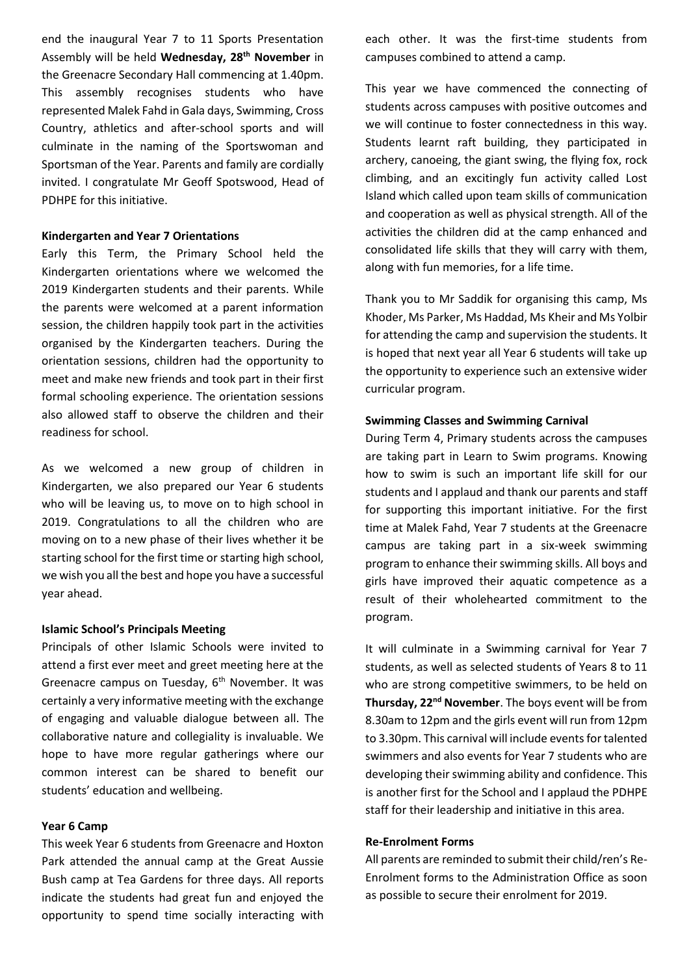end the inaugural Year 7 to 11 Sports Presentation Assembly will be held **Wednesday, 28th November** in the Greenacre Secondary Hall commencing at 1.40pm. This assembly recognises students who have represented Malek Fahd in Gala days, Swimming, Cross Country, athletics and after-school sports and will culminate in the naming of the Sportswoman and Sportsman of the Year. Parents and family are cordially invited. I congratulate Mr Geoff Spotswood, Head of PDHPE for this initiative.

#### **Kindergarten and Year 7 Orientations**

Early this Term, the Primary School held the Kindergarten orientations where we welcomed the 2019 Kindergarten students and their parents. While the parents were welcomed at a parent information session, the children happily took part in the activities organised by the Kindergarten teachers. During the orientation sessions, children had the opportunity to meet and make new friends and took part in their first formal schooling experience. The orientation sessions also allowed staff to observe the children and their readiness for school.

As we welcomed a new group of children in Kindergarten, we also prepared our Year 6 students who will be leaving us, to move on to high school in 2019. Congratulations to all the children who are moving on to a new phase of their lives whether it be starting school for the first time or starting high school, we wish you all the best and hope you have a successful year ahead.

#### **Islamic School's Principals Meeting**

Principals of other Islamic Schools were invited to attend a first ever meet and greet meeting here at the Greenacre campus on Tuesday,  $6<sup>th</sup>$  November. It was certainly a very informative meeting with the exchange of engaging and valuable dialogue between all. The collaborative nature and collegiality is invaluable. We hope to have more regular gatherings where our common interest can be shared to benefit our students' education and wellbeing.

#### **Year 6 Camp**

This week Year 6 students from Greenacre and Hoxton Park attended the annual camp at the Great Aussie Bush camp at Tea Gardens for three days. All reports indicate the students had great fun and enjoyed the opportunity to spend time socially interacting with each other. It was the first-time students from campuses combined to attend a camp.

This year we have commenced the connecting of students across campuses with positive outcomes and we will continue to foster connectedness in this way. Students learnt raft building, they participated in archery, canoeing, the giant swing, the flying fox, rock climbing, and an excitingly fun activity called Lost Island which called upon team skills of communication and cooperation as well as physical strength. All of the activities the children did at the camp enhanced and consolidated life skills that they will carry with them, along with fun memories, for a life time.

Thank you to Mr Saddik for organising this camp, Ms Khoder, Ms Parker, Ms Haddad, Ms Kheir and Ms Yolbir for attending the camp and supervision the students. It is hoped that next year all Year 6 students will take up the opportunity to experience such an extensive wider curricular program.

#### **Swimming Classes and Swimming Carnival**

During Term 4, Primary students across the campuses are taking part in Learn to Swim programs. Knowing how to swim is such an important life skill for our students and I applaud and thank our parents and staff for supporting this important initiative. For the first time at Malek Fahd, Year 7 students at the Greenacre campus are taking part in a six-week swimming program to enhance their swimming skills. All boys and girls have improved their aquatic competence as a result of their wholehearted commitment to the program.

It will culminate in a Swimming carnival for Year 7 students, as well as selected students of Years 8 to 11 who are strong competitive swimmers, to be held on **Thursday, 22nd November**. The boys event will be from 8.30am to 12pm and the girls event will run from 12pm to 3.30pm. This carnival will include events for talented swimmers and also events for Year 7 students who are developing their swimming ability and confidence. This is another first for the School and I applaud the PDHPE staff for their leadership and initiative in this area.

#### **Re-Enrolment Forms**

All parents are reminded to submit their child/ren's Re-Enrolment forms to the Administration Office as soon as possible to secure their enrolment for 2019.